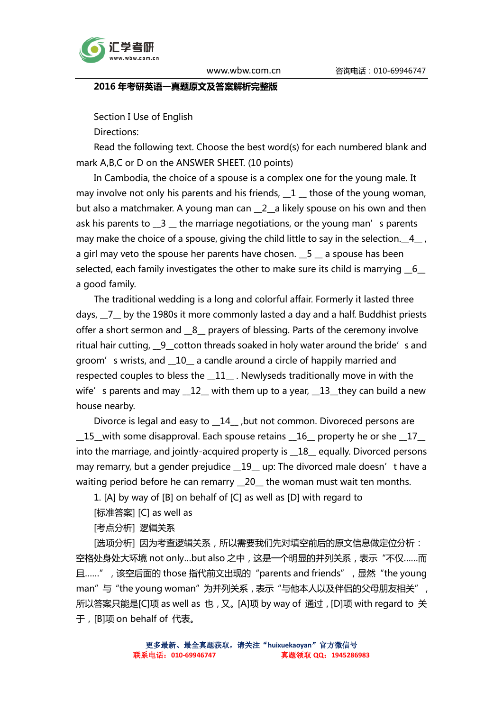

#### 2016 年考研英语一真题原文及答案解析完整版

Section I Use of English

Directions:

Read the following text. Choose the best word(s) for each numbered blank and mark A,B,C or D on the ANSWER SHEET. (10 points)

In Cambodia, the choice of a spouse is a complex one for the young male. It may involve not only his parents and his friends,  $\_1$   $\_$  those of the young woman, but also a matchmaker. A young man can \_2\_a likely spouse on his own and then ask his parents to  $\overline{\phantom{a}}$  3  $\overline{\phantom{a}}$  the marriage negotiations, or the young man's parents may make the choice of a spouse, giving the child little to say in the selection. 4, a girl may veto the spouse her parents have chosen.  $\_5 \_$  a spouse has been selected, each family investigates the other to make sure its child is marrying 6 a good family.

The traditional wedding is a long and colorful affair. Formerly it lasted three days,  $\overline{7}$  by the 1980s it more commonly lasted a day and a half. Buddhist priests offer a short sermon and \_8\_ prayers of blessing. Parts of the ceremony involve ritual hair cutting, 9 cotton threads soaked in holy water around the bride's and groom's wrists, and \_\_10\_\_ a candle around a circle of happily married and respected couples to bless the \_\_11\_\_ . Newlyseds traditionally move in with the wife's parents and may  $\_12\_$  with them up to a year,  $\_13\_$  they can build a new house nearby.

Divorce is legal and easy to \_\_14\_\_ ,but not common. Divoreced persons are  $\_15\_$  with some disapproval. Each spouse retains  $\_16\_$  property he or she  $\_17\_$ into the marriage, and jointly-acquired property is \_\_18\_\_ equally. Divorced persons may remarry, but a gender prejudice \_19\_ up: The divorced male doesn't have a waiting period before he can remarry \_20\_ the woman must wait ten months.

1. [A] by way of [B] on behalf of [C] as well as [D] with regard to

[标准答案] [C] as well as

[考点分析] 逻辑关系

[选项分析] 因为考查逻辑关系, 所以需要我们先对填空前后的原文信息做定位分析: 空格处身处大环境 not only...but also 之中, 这是一个明显的并列关系, 表示"不仅……而 且……", 该空后面的 those 指代前文出现的 "parents and friends", 显然 "the young man"与 "the young woman" 为并列关系, 表示 "与他本人以及伴侣的父母朋友相关", 所以答案只能是[C]项 as well as 也,又。[A]项 by way of 通过,[D]项 with regard to 关 于,[B]项 on behalf of 代表。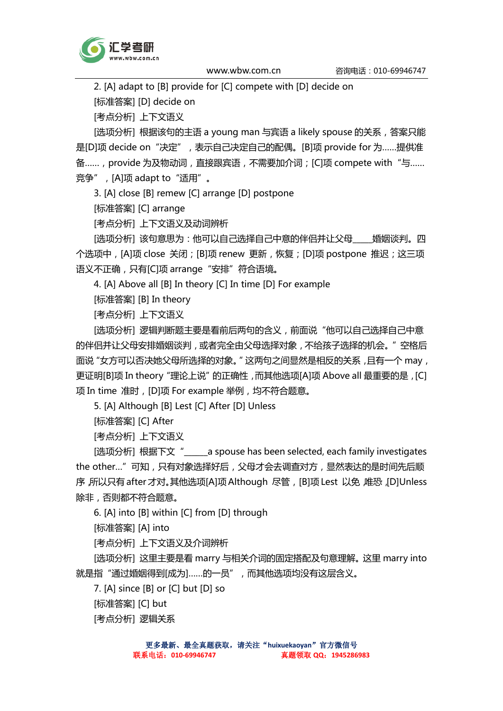

2. [A] adapt to [B] provide for [C] compete with [D] decide on

[标准答案] [D] decide on

[考点分析] 上下文语义

[选项分析] 根据该句的主语 a young man 与宾语 a likely spouse 的关系, 答案只能 是[D]项 decide on "决定", 表示自己决定自己的配偶。[B]项 provide for 为……提供准 备……, provide 为及物动词, 直接跟宾语, 不需要加介词;[C]项 compete with "与……  $\widehat{\mathfrak{F}}$ 争", [A]项 adapt to "适用"。

3. [A] close [B] remew [C] arrange [D] postpone

[标准答案] [C] arrange

[考点分析] 上下文语义及动词辨析

[选项分析] 该句意思为:他可以自己选择自己中意的伴侣并让父母\_\_\_\_婚姻谈判。四 个选项中, [A]项 close 关闭; [B]项 renew 更新, 恢复; [D]项 postpone 推迟;这三项 语义不正确,只有[C]项 arrange "安排"符合语境。

4. [A] Above all [B] In theory [C] In time [D] For example

[标准答案] [B] In theory

[考点分析] 上下文语义

[选项分析] 逻辑判断题主要是看前后两句的含义,前面说"他可以自己选择自己中意 的伴侣并让父母安排婚姻谈判,或者完全由父母选择对象,不给孩子选择的机会。"空格后 面说"女方可以否决她父母所选择的对象。"这两句之间显然是相反的关系,且有一个 may, 更证明[B]项 In theory "理论上说"的正确性,而其他选项[A]项 Above all 最重要的是,[C] 项 In time 准时,[D]项 For example 举例,均不符合题意。

5. [A] Although [B] Lest [C] After [D] Unless

[标准答案] [C] After

[考点分析] 上下文语义

[选项分析] 根据下文"\_\_\_\_\_\_a spouse has been selected, each family investigates the other…"可知,只有对象选择好后,父母才会去调查对方,显然表达的是时间先后顺 序,所以只有 after 才对。其他选项[A]项 Although 尽管,[B]项 Lest 以免,唯恐,[D]Unless 除非,否则都不符合题意。

6. [A] into [B] within [C] from [D] through

[标准答案] [A] into

[考点分析] 上下文语义及介词辨析

[选项分析] 这里主要是看 marry 与相关介词的固定搭配及句意理解。这里 marry into 就是指"通过婚姻得到[成为]……的一员",而其他选项均没有这层含义。

7. [A] since [B] or [C] but [D] so

[标准答案] [C] but

[考点分析] 逻辑关系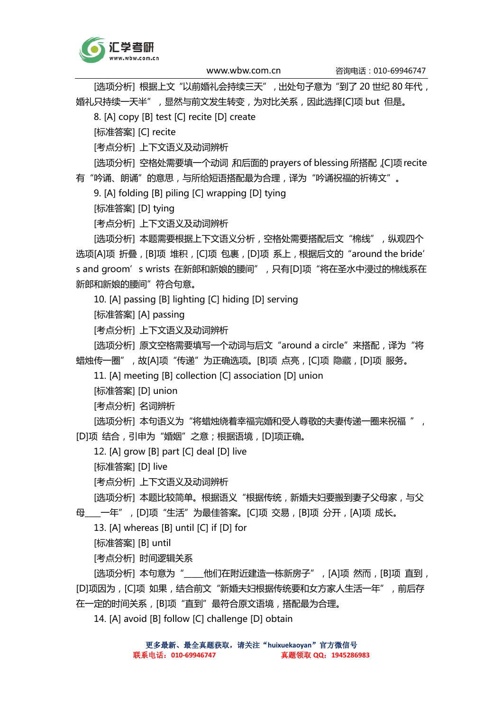

[选项分析] 根据上文"以前婚礼会持续三天",出处句子意为"到了 20 世纪 80 年代, 婚礼只持续一天半",显然与前文发生转变,为对比关系,因此选择[C]项 but 但是。

8. [A] copy [B] test [C] recite [D] create

[标准答案] [C] recite

[考点分析] 上下文语义及动词辨析

[选项分析] 空格处需要填一个动词,和后面的 prayers of blessing 所搭配, [C]项 recite 有"吟诵、朗诵"的意思,与所给短语搭配最为合理,译为"吟诵祝福的祈祷文"。

9. [A] folding [B] piling [C] wrapping [D] tying

[标准答案] [D] tying

[考点分析] 上下文语义及动词辨析

[选项分析] 本题需要根据上下文语义分析, 空格处需要搭配后文"棉线", 纵观四个 选项[A]项 折叠, [B]项 堆积, [C]项 包裹, [D]项 系上, 根据后文的 "around the bride' s and groom's wrists 在新郎和新娘的腰间",只有[D]项"将在圣水中浸过的棉线系在 新郎和新娘的腰间"符合句意。

10. [A] passing [B] lighting [C] hiding [D] serving

[标准答案] [A] passing

[考点分析] 上下文语义及动词辨析

[选项分析] 原文空格需要填写一个动词与后文"around a circle"来搭配, 译为"将 蜡烛传一圈",故[A]项"传递"为正确选项。[B]项 点亮,[C]项 隐藏,[D]项 服务。

11. [A] meeting [B] collection [C] association [D] union

[标准答案] [D] union

[考点分析] 名词辨析

[选项分析] 本句语义为"将蜡烛绕着幸福完婚和受人尊敬的夫妻传递一圈来祝福", [D]项 结合,引申为"婚姻"之意;根据语境,[D]项正确。

12. [A] grow [B] part [C] deal [D] live

[标准答案] [D] live

[考点分析] 上下文语义及动词辨析

[选项分析] 本题比较简单。根据语义"根据传统, 新婚夫妇要搬到妻子父母家, 与父

母\_\_\_\_一年",[D]项"生活"为最佳答案。[C]项 交易,[B]项 分开,[A]项 成长。

13. [A] whereas [B] until [C] if [D] for

[标准答案] [B] until

[考点分析] 时间逻辑关系

[选项分析] 本句意为"\_\_\_\_\_他们在附近建造一栋新房子",[A]项 然而,[B]项 直到, [D]项因为, [C]项 如果, 结合前文 "新婚夫妇根据传统要和女方家人生活一年", 前后存 在一定的时间关系, [B]项"直到"最符合原文语境, 搭配最为合理。

14. [A] avoid [B] follow [C] challenge [D] obtain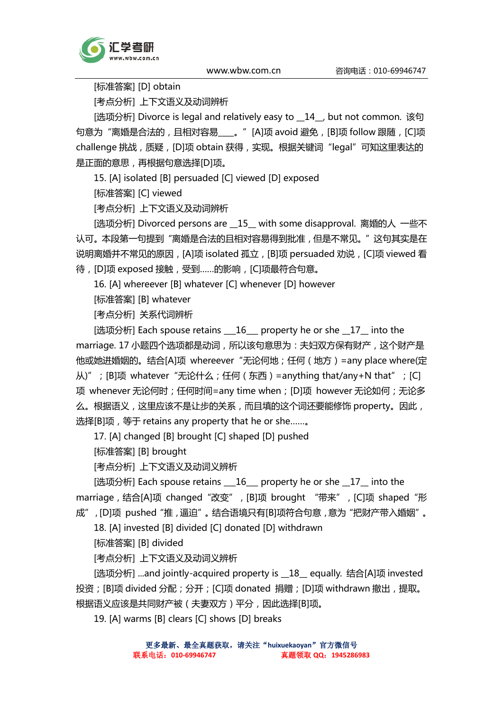

[标准答案] [D] obtain

[考点分析] 上下文语义及动词辨析

[选项分析] Divorce is legal and relatively easy to \_\_14\_\_, but not common. 该句 句意为"离婚是合法的, 且相对容易\_\_\_\_。"[A]项 avoid 避免, [B]项 follow 跟随, [C]项 challenge 挑战,质疑, [D]项 obtain 获得, 实现。根据关键词"legal"可知这里表达的 是正面的意思,再根据句意选择[D]项。

15. [A] isolated [B] persuaded [C] viewed [D] exposed

[标准答案] [C] viewed

[考点分析] 上下文语义及动词辨析

[选项分析] Divorced persons are \_\_15\_\_ with some disapproval. 离婚的人 一些不 认可。本段第一句提到"离婚是合法的且相对容易得到批准,但是不常见。"这句其实是在 说明离婚并不常见的原因, [A]项 isolated 孤立, [B]项 persuaded 劝说, [C]项 viewed 看 待,[D]项 exposed 接触,受到……的影响,[C]项最符合句意。

16. [A] whereever [B] whatever [C] whenever [D] however

[标准答案] [B] whatever

[考点分析] 关系代词辨析

[选项分析] Each spouse retains \_\_\_16\_\_\_ property he or she \_\_17\_\_ into the marriage. 17 小题四个选项都是动词, 所以该句意思为: 夫妇双方保有财产, 这个财产是 他或她进婚姻的。结合[A]项 whereever "无论何地;任何(地方)=any place where(定 从)"; [B]项 whatever "无论什么; 任何(东西)=anything that/any+N that"; [C] 项 whenever 无论何时; 任何时间=any time when; [D]项 however 无论如何; 无论多 么。根据语义,这里应该不是让步的关系,而且填的这个词还要能修饰 property。因此, 选择[B]项, 等于 retains any property that he or she.......

17. [A] changed [B] brought [C] shaped [D] pushed

[标准答案] [B] brought

[考点分析] 上下文语义及动词义辨析

[选项分析] Each spouse retains \_\_16\_\_\_ property he or she \_17\_ into the marriage, 结合[A]项 changed "改变", [B]项 brought "带来", [C]项 shaped "形 成",[D]项 pushed"推,逼迫"。结合语境只有[B]项符合句意,意为"把财产带入婚姻"。

18. [A] invested [B] divided [C] donated [D] withdrawn

[标准答案] [B] divided

[考点分析] 上下文语义及动词义辨析

[选项分析] ...and jointly-acquired property is \_\_18\_\_ equally. 结合[A]项 invested 投资;[B]项 divided 分配;分开;[C]项 donated 捐赠;[D]项 withdrawn 撤出,提取。 根据语义应该是共同财产被(夫妻双方)平分,因此选择[B]项。

19. [A] warms [B] clears [C] shows [D] breaks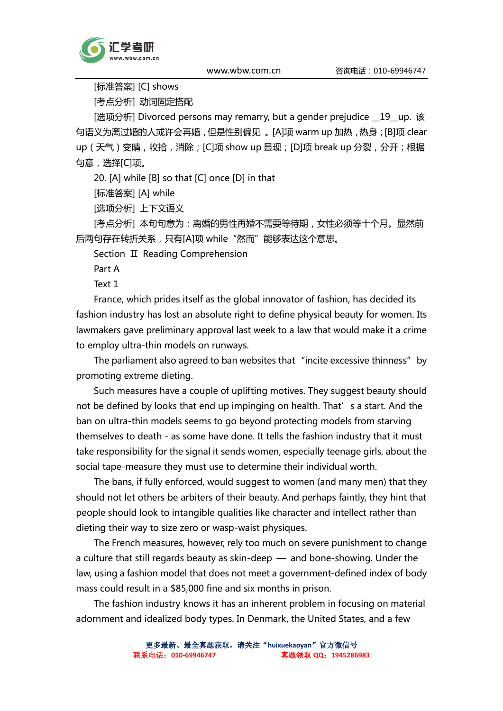

[标准答案] [C] shows

[考点分析] 动词固定搭配

[选项分析] Divorced persons may remarry, but a gender prejudice \_\_19\_up. 该 句语义为离过婚的人或许会再婚,但是性别偏见 。[A]项 warm up 加热,热身;[B]项 clear up (天气)变晴, 收拾, 消除; [C]项 show up 显现; [D]项 break up 分裂, 分开; 根据 句意,选择[C]项。

20. [A] while [B] so that [C] once [D] in that

[标准答案] [A] while

[选项分析] 上下文语义

[考点分析] 本句句意为: 离婚的男性再婚不需要等待期, 女性必须等十个月。显然前 后两句存在转折关系,只有[A]项 while"然而"能够表达这个意思。

Section Ⅱ Reading Comprehension

Part A

Text 1

France, which prides itself as the global innovator of fashion, has decided its fashion industry has lost an absolute right to define physical beauty for women. Its lawmakers gave preliminary approval last week to a law that would make it a crime to employ ultra-thin models on runways.

The parliament also agreed to ban websites that "incite excessive thinness" by promoting extreme dieting.

Such measures have a couple of uplifting motives. They suggest beauty should not be defined by looks that end up impinging on health. That's a start. And the ban on ultra-thin models seems to go beyond protecting models from starving themselves to death - as some have done. It tells the fashion industry that it must take responsibility for the signal it sends women, especially teenage girls, about the social tape-measure they must use to determine their individual worth.

The bans, if fully enforced, would suggest to women (and many men) that they should not let others be arbiters of their beauty. And perhaps faintly, they hint that people should look to intangible qualities like character and intellect rather than dieting their way to size zero or wasp-waist physiques.

The French measures, however, rely too much on severe punishment to change a culture that still regards beauty as skin-deep — and bone-showing. Under the law, using a fashion model that does not meet a government-defined index of body mass could result in a \$85,000 fine and six months in prison.

The fashion industry knows it has an inherent problem in focusing on material adornment and idealized body types. In Denmark, the United States, and a few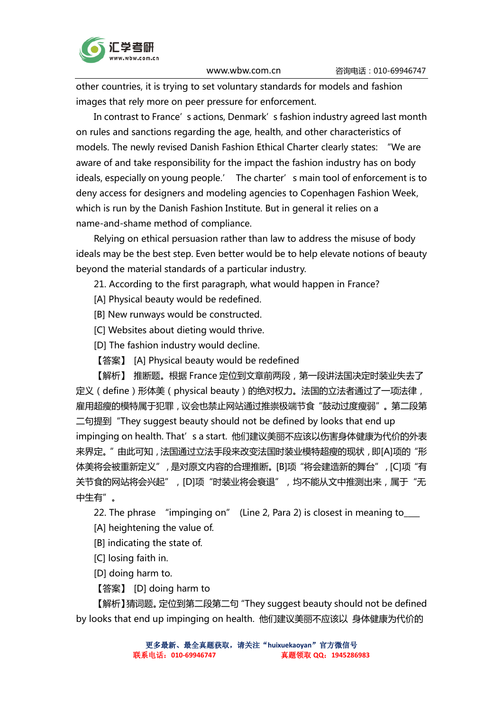

other countries, it is trying to set voluntary standards for models and fashion images that rely more on peer pressure for enforcement.

In contrast to France's actions, Denmark's fashion industry agreed last month on rules and sanctions regarding the age, health, and other characteristics of models. The newly revised Danish Fashion Ethical Charter clearly states: "We are aware of and take responsibility for the impact the fashion industry has on body ideals, especially on young people.' The charter's main tool of enforcement is to deny access for designers and modeling agencies to Copenhagen Fashion Week, which is run by the Danish Fashion Institute. But in general it relies on a name-and-shame method of compliance.

Relying on ethical persuasion rather than law to address the misuse of body ideals may be the best step. Even better would be to help elevate notions of beauty beyond the material standards of a particular industry.

21. According to the first paragraph, what would happen in France?

- [A] Physical beauty would be redefined.
- [B] New runways would be constructed.
- [C] Websites about dieting would thrive.
- [D] The fashion industry would decline.
- 【答案】 [A] Physical beauty would be redefined

【解析】 推断题。根据 France 定位到文章前两段, 第一段讲法国决定时装业失去了 定义(define)形体美(physical beauty)的绝对权力。法国的立法者通过了一项法律, 雇用超瘦的模特属于犯罪,议会也禁止网站通过推崇极端节食"鼓动过度瘦弱"。第二段第 二句提到"They suggest beauty should not be defined by looks that end up impinging on health. That's a start. 他们建议美丽不应该以伤害身体健康为代价的外表 来界定。"由此可知, 法国通过立法手段来改变法国时装业模特超瘦的现状, 即[A]项的"形 体美将会被重新定义",是对原文内容的合理推断。[B]项"将会建造新的舞台",[C]项"有 关节食的网站将会兴起", [D]项"时装业将会衰退", 均不能从文中推测出来, 属于"无 中生有"。

22. The phrase "impinging on" (Line 2, Para 2) is closest in meaning to

- [A] heightening the value of.
- [B] indicating the state of.
- [C] losing faith in.

[D] doing harm to.

【答案】 [D] doing harm to

【解析】猜词题。定位到第二段第二句"They suggest beauty should not be defined by looks that end up impinging on health. 他们建议美丽不应该以 身体健康为代价的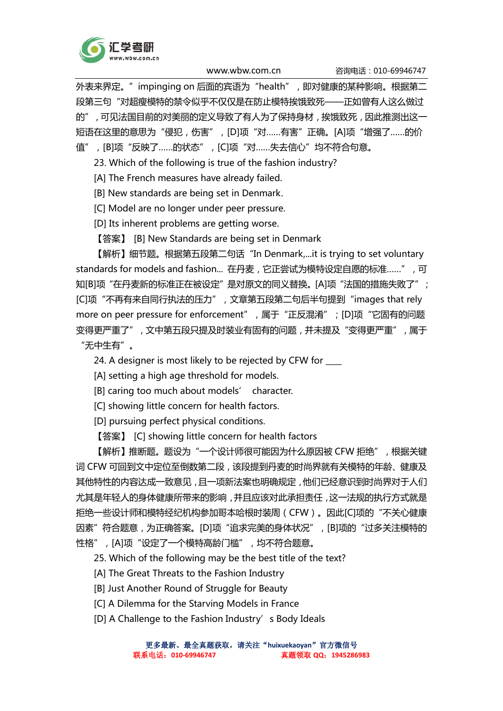

外表来界定。"impinging on 后面的宾语为"health",即对健康的某种影响。根据第二 段第三句"对超瘦模特的禁令似乎不仅仅是在防止模特挨饿致死——正如曾有人这么做过 的",可见法国目前的对美丽的定义导致了有人为了保持身材,挨饿致死,因此推测出这一 短语在这里的意思为"侵犯,伤害", [D]项"对……有害"正确。[A]项"增强了……的价 值",[B]项"反映了……的状态",[C]项"对……失去信心"均不符合句意。

23. Which of the following is true of the fashion industry?

[A] The French measures have already failed.

[B] New standards are being set in Denmark.

[C] Model are no longer under peer pressure.

[D] Its inherent problems are getting worse.

【答案】 [B] New Standards are being set in Denmark

【解析】细节题。根据第五段第二句话"In Denmark,...it is trying to set voluntary standards for models and fashion... 在丹麦,它正尝试为模特设定自愿的标准……",可 知[B]项"在丹麦新的标准正在被设定"是对原文的同义替换。[A]项"法国的措施失败了"; [C]项"不再有来自同行执法的压力",文章第五段第二句后半句提到"images that rely more on peer pressure for enforcement",属于"正反混淆";[D]项"它固有的问题 变得更严重了",文中第五段只提及时装业有固有的问题,并未提及"变得更严重",属于 "无中生有"。

24. A designer is most likely to be rejected by CFW for \_\_\_\_

[A] setting a high age threshold for models.

[B] caring too much about models' character.

[C] showing little concern for health factors.

[D] pursuing perfect physical conditions.

【答案】 [C] showing little concern for health factors

【解析】推断题。题设为"一个设计师很可能因为什么原因被 CFW 拒绝",根据关键 词 CFW 可回到文中定位至倒数第二段,该段提到丹麦的时尚界就有关模特的年龄、健康及 其他特性的内容达成一致意见,且一项新法案也明确规定,他们已经意识到时尚界对于人们 尤其是年轻人的身体健康所带来的影响,并且应该对此承担责任,这一法规的执行方式就是 拒绝一些设计师和模特经纪机构参加哥本哈根时装周(CFW)。因此[C]项的"不关心健康 因素"符合题意,为正确答案。[D]项"追求完美的身体状况",[B]项的"过多关注模特的 性格",[A]项"设定了一个模特高龄门槛",均不符合题意。

25. Which of the following may be the best title of the text?

[A] The Great Threats to the Fashion Industry

[B] Just Another Round of Struggle for Beauty

[C] A Dilemma for the Starving Models in France

[D] A Challenge to the Fashion Industry's Body Ideals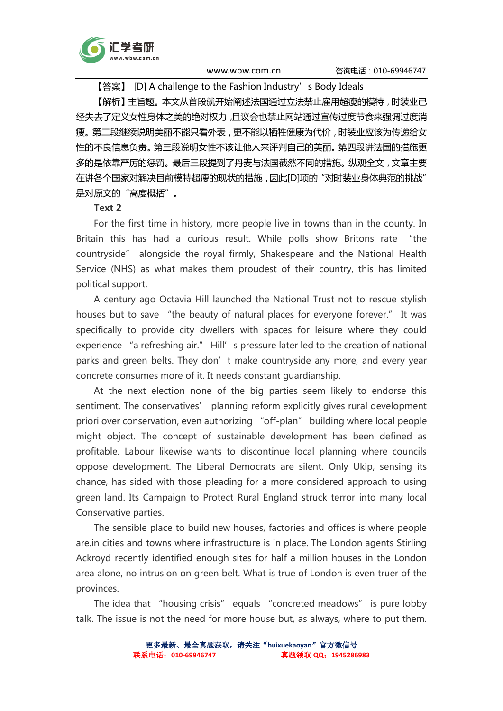

【答案】 [D] A challenge to the Fashion Industry's Body Ideals

【解析】主旨题。本文从首段就开始阐述法国通过立法禁止雇用超瘦的模特,时装业已 经失去了定义女性身体之美的绝对权力,且议会也禁止网站通过宣传过度节食来强调过度消 瘦。第二段继续说明美丽不能只看外表,更不能以牺牲健康为代价,时装业应该为传递给女 性的不良信息负责。第三段说明女性不该让他人来评判自己的美丽。第四段讲法国的措施更 多的是依靠严厉的惩罚。最后三段提到了丹麦与法国截然不同的措施。纵观全文,文章主要 在讲各个国家对解决目前模特超瘦的现状的措施,因此[D]项的"对时装业身体典范的挑战" 是对原文的"高度概括"。

#### Text 2

For the first time in history, more people live in towns than in the county. In Britain this has had a curious result. While polls show Britons rate "the countryside" alongside the royal firmly, Shakespeare and the National Health Service (NHS) as what makes them proudest of their country, this has limited political support.

A century ago Octavia Hill launched the National Trust not to rescue stylish houses but to save "the beauty of natural places for everyone forever." It was specifically to provide city dwellers with spaces for leisure where they could experience "a refreshing air." Hill's pressure later led to the creation of national parks and green belts. They don't make countryside any more, and every year concrete consumes more of it. It needs constant guardianship.

At the next election none of the big parties seem likely to endorse this sentiment. The conservatives' planning reform explicitly gives rural development priori over conservation, even authorizing "off-plan" building where local people might object. The concept of sustainable development has been defined as profitable. Labour likewise wants to discontinue local planning where councils oppose development. The Liberal Democrats are silent. Only Ukip, sensing its chance, has sided with those pleading for a more considered approach to using green land. Its Campaign to Protect Rural England struck terror into many local Conservative parties.

The sensible place to build new houses, factories and offices is where people are.in cities and towns where infrastructure is in place. The London agents Stirling Ackroyd recently identified enough sites for half a million houses in the London area alone, no intrusion on green belt. What is true of London is even truer of the provinces.

The idea that "housing crisis" equals "concreted meadows" is pure lobby talk. The issue is not the need for more house but, as always, where to put them.

> 更多最新、最全真题获取,请关注"**huixuekaoyan**"官方微信号 联系电话:**010-69946747** 真题领取 **QQ**:**1945286983**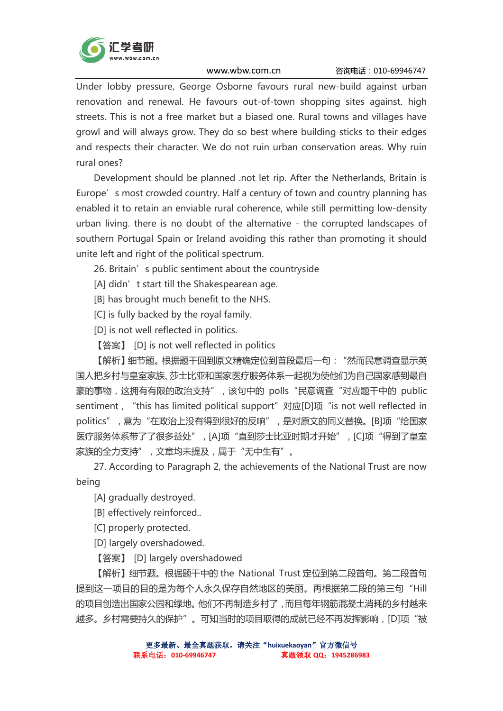

Under lobby pressure, George Osborne favours rural new-build against urban renovation and renewal. He favours out-of-town shopping sites against. high streets. This is not a free market but a biased one. Rural towns and villages have growl and will always grow. They do so best where building sticks to their edges and respects their character. We do not ruin urban conservation areas. Why ruin rural ones?

Development should be planned .not let rip. After the Netherlands, Britain is Europe's most crowded country. Half a century of town and country planning has enabled it to retain an enviable rural coherence, while still permitting low-density urban living. there is no doubt of the alternative - the corrupted landscapes of southern Portugal Spain or Ireland avoiding this rather than promoting it should unite left and right of the political spectrum.

26. Britain's public sentiment about the countryside

[A] didn't start till the Shakespearean age.

[B] has brought much benefit to the NHS.

[C] is fully backed by the royal family.

[D] is not well reflected in politics.

【答案】 [D] is not well reflected in politics

【解析】细节题。根据题干回到原文精确定位到首段最后一句:"然而民意调查显示英 国人把乡村与皇室家族、莎士比亚和国家医疗服务体系一起视为使他们为自己国家感到最自 豪的事物,这拥有有限的政治支持",该句中的 polls"民意调查"对应题干中的 public sentiment, "this has limited political support" 对应[D]项 "is not well reflected in politics",意为"在政治上没有得到很好的反响",是对原文的同义替换。[B]项"给国家 医疗服务体系带了了很多益处",[A]项"直到莎士比亚时期才开始",[C]项"得到了皇室 家族的全力支持",文章均未提及,属于"无中生有"。

27. According to Paragraph 2, the achievements of the National Trust are now being

[A] gradually destroyed.

[B] effectively reinforced..

[C] properly protected.

[D] largely overshadowed.

【答案】 [D] largely overshadowed

【解析】细节题。根据题干中的 the National Trust 定位到第二段首句。第二段首句 提到这一项目的目的是为每个人永久保存自然地区的美丽。再根据第二段的第三句"Hill 的项目创造出国家公园和绿地。他们不再制造乡村了,而且每年钢筋混凝土消耗的乡村越来 越多。乡村需要持久的保护"。可知当时的项目取得的成就已经不再发挥影响, [D]项"被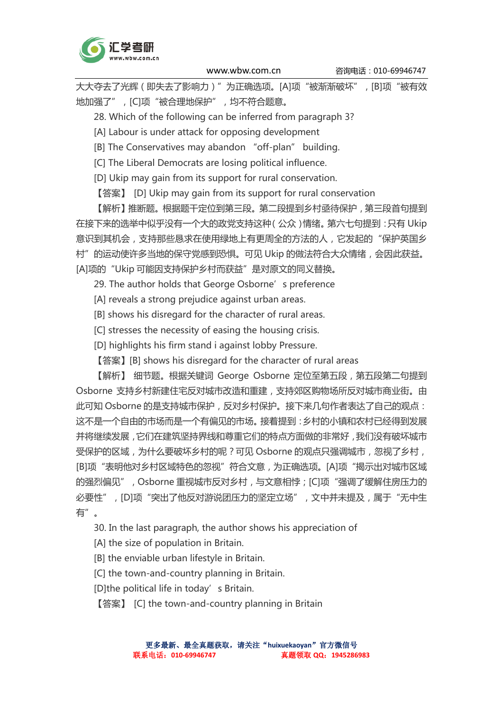

大大夺去了光辉 (即失去了影响力)"为正确选项。[A]项"被渐渐破坏", [B]项"被有效 地加强了",[C]项"被合理地保护",均不符合题意。

28. Which of the following can be inferred from paragraph 3?

[A] Labour is under attack for opposing development

[B] The Conservatives may abandon "off-plan" building.

[C] The Liberal Democrats are losing political influence.

[D] Ukip may gain from its support for rural conservation.

【答案】 [D] Ukip may gain from its support for rural conservation

【解析】推断题。根据题干定位到第三段。第二段提到乡村亟待保护,第三段首句提到 在接下来的选举中似乎没有一个大的政党支持这种(公众)情绪。第六七句提到:只有 Ukip 意识到其机会,支持那些恳求在使用绿地上有更周全的方法的人,它发起的"保护英国乡 村"的运动使许多当地的保守党感到恐惧。可见 Ukip 的做法符合大众情绪,会因此获益。 [A]项的"Ukip 可能因支持保护乡村而获益"是对原文的同义替换。

29. The author holds that George Osborne's preference

- [A] reveals a strong prejudice against urban areas.
- [B] shows his disregard for the character of rural areas.
- [C] stresses the necessity of easing the housing crisis.
- [D] highlights his firm stand i against lobby Pressure.
- 【答案】[B] shows his disregard for the character of rural areas

【解析】 细节题。根据关键词 George Osborne 定位至第五段,第五段第二句提到 Osborne 支持乡村新建住宅反对城市改造和重建,支持郊区购物场所反对城市商业街。由 此可知 Osborne 的是支持城市保护, 反对乡村保护。接下来几句作者表达了自己的观点: 这不是一个自由的市场而是一个有偏见的市场。接着提到:乡村的小镇和农村已经得到发展 并将继续发展,它们在建筑坚持界线和尊重它们的特点方面做的非常好,我们没有破坏城市 受保护的区域,为什么要破坏乡村的呢?可见 Osborne 的观点只强调城市,忽视了乡村, [B]项"表明他对乡村区域特色的忽视"符合文意,为正确选项。[A]项"揭示出对城市区域 的强烈偏见", Osborne 重视城市反对乡村, 与文意相悖;[C]项"强调了缓解住房压力的 必要性",[D]项"突出了他反对游说团压力的坚定立场", 文中并未提及, 属于"无中生 有"。

30. In the last paragraph, the author shows his appreciation of

[A] the size of population in Britain.

- [B] the enviable urban lifestyle in Britain.
- [C] the town-and-country planning in Britain.

[D]the political life in today's Britain.

【答案】 [C] the town-and-country planning in Britain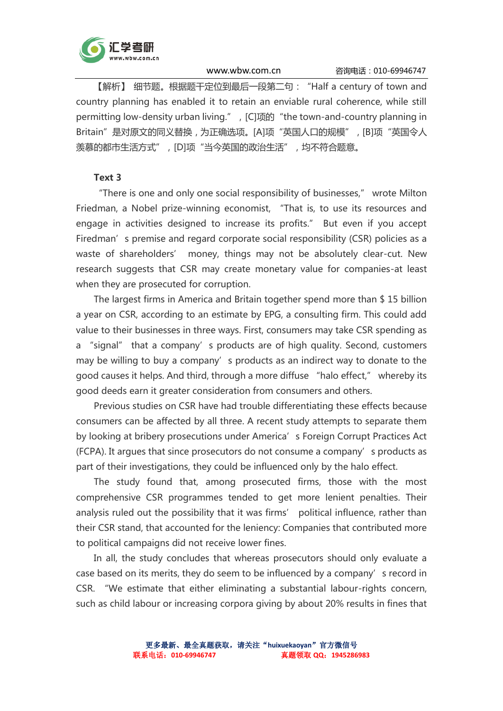

【解析】 细节题。根据题干定位到最后一段第二句:"Half a century of town and country planning has enabled it to retain an enviable rural coherence, while still permitting low-density urban living.", [C]项的 "the town-and-country planning in Britain"是对原文的同义替换,为正确选项。[A]项"英国人口的规模",[B]项"英国令人 羡慕的都市生活方式",[D]项"当今英国的政治生活",均不符合题意。

## Text 3

"There is one and only one social responsibility of businesses," wrote Milton Friedman, a Nobel prize-winning economist, "That is, to use its resources and engage in activities designed to increase its profits." But even if you accept Firedman's premise and regard corporate social responsibility (CSR) policies as a waste of shareholders' money, things may not be absolutely clear-cut. New research suggests that CSR may create monetary value for companies-at least when they are prosecuted for corruption.

The largest firms in America and Britain together spend more than \$ 15 billion a year on CSR, according to an estimate by EPG, a consulting firm. This could add value to their businesses in three ways. First, consumers may take CSR spending as a "signal" that a company's products are of high quality. Second, customers may be willing to buy a company's products as an indirect way to donate to the good causes it helps. And third, through a more diffuse "halo effect," whereby its good deeds earn it greater consideration from consumers and others.

Previous studies on CSR have had trouble differentiating these effects because consumers can be affected by all three. A recent study attempts to separate them by looking at bribery prosecutions under America's Foreign Corrupt Practices Act (FCPA). It argues that since prosecutors do not consume a company's products as part of their investigations, they could be influenced only by the halo effect.

The study found that, among prosecuted firms, those with the most comprehensive CSR programmes tended to get more lenient penalties. Their analysis ruled out the possibility that it was firms' political influence, rather than their CSR stand, that accounted for the leniency: Companies that contributed more to political campaigns did not receive lower fines.

In all, the study concludes that whereas prosecutors should only evaluate a case based on its merits, they do seem to be influenced by a company's record in CSR. "We estimate that either eliminating a substantial labour-rights concern, such as child labour or increasing corpora giving by about 20% results in fines that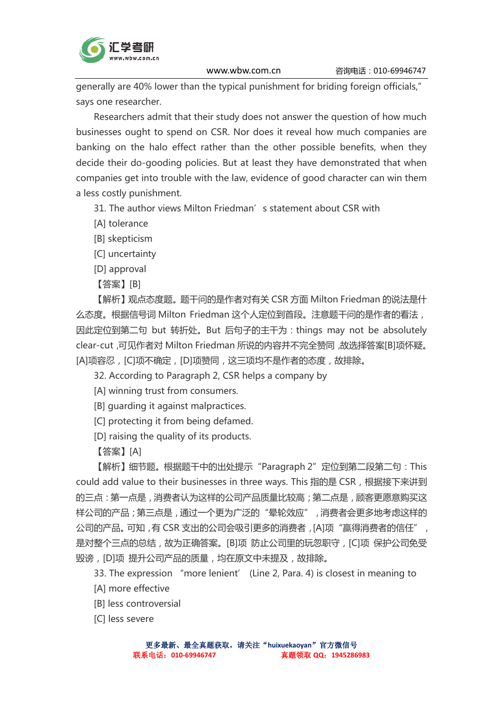

generally are 40% lower than the typical punishment for briding foreign officials," says one researcher.

Researchers admit that their study does not answer the question of how much businesses ought to spend on CSR. Nor does it reveal how much companies are banking on the halo effect rather than the other possible benefits, when they decide their do-gooding policies. But at least they have demonstrated that when companies get into trouble with the law, evidence of good character can win them a less costly punishment.

31. The author views Milton Friedman's statement about CSR with

[A] tolerance

[B] skepticism

[C] uncertainty

[D] approval

【答案】[B]

【解析】观点态度题。题干问的是作者对有关 CSR 方面 Milton Friedman 的说法是什 么态度。根据信号词 Milton Friedman 这个人定位到首段。注意题干问的是作者的看法, 因此定位到第二句 but 转折处。But 后句子的主干为:things may not be absolutely clear-cut,可见作者对 Milton Friedman 所说的内容并不完全赞同,故选择答案[B]项怀疑。 [A]项容忍,[C]项不确定,[D]项赞同,这三项均不是作者的态度,故排除。

32. According to Paragraph 2, CSR helps a company by

[A] winning trust from consumers.

[B] guarding it against malpractices.

[C] protecting it from being defamed.

[D] raising the quality of its products.

【答案】[A]

【解析】细节题。根据题干中的出处提示"Paragraph 2"定位到第二段第二句: This could add value to their businesses in three ways. This 指的是 CSR, 根据接下来讲到 的三点:第一点是,消费者认为这样的公司产品质量比较高;第二点是,顾客更愿意购买这 样公司的产品;第三点是,通过一个更为广泛的"晕轮效应",消费者会更多地考虑这样的 公司的产品。可知,有 CSR 支出的公司会吸引更多的消费者, [A]项"赢得消费者的信任", 是对整个三点的总结,故为正确答案。[B]项 防止公司里的玩忽职守,[C]项 保护公司免受 毁谤,[D]项 提升公司产品的质量,均在原文中未提及,故排除。

33. The expression "more lenient' (Line 2, Para. 4) is closest in meaning to

[A] more effective

[B] less controversial

[C] less severe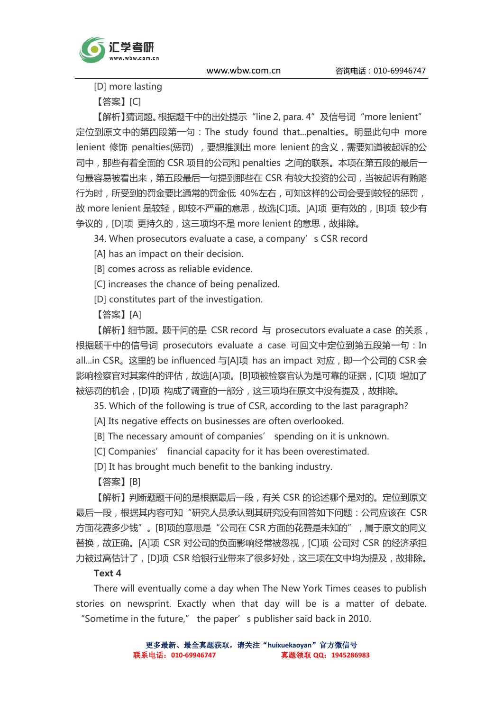



[D] more lasting

【答案】[C]

【解析】猜词题。根据题干中的出处提示"line 2, para. 4"及信号词"more lenient" 定位到原文中的第四段第一句:The study found that...penalties。明显此句中 more lenient 修饰 penalties(惩罚), 要想推测出 more lenient 的含义, 需要知道被起诉的公 司中,那些有着全面的 CSR 项目的公司和 penalties 之间的联系。本项在第五段的最后一 句最容易被看出来,第五段最后一句提到那些在 CSR 有较大投资的公司,当被起诉有贿赂 行为时,所受到的罚金要比通常的罚金低 40%左右,可知这样的公司会受到较轻的惩罚, 故 more lenient 是较轻, 即较不严重的意思, 故选[C]项。[A]项 更有效的, [B]项 较少有 争议的,[D]项 更持久的,这三项均不是 more lenient 的意思,故排除。

34. When prosecutors evaluate a case, a company's CSR record

[A] has an impact on their decision.

[B] comes across as reliable evidence.

[C] increases the chance of being penalized.

[D] constitutes part of the investigation.

【答案】[A]

【解析】细节题。题干问的是 CSR record 与 prosecutors evaluate a case 的关系, 根据题干中的信号词 prosecutors evaluate a case 可回文中定位到第五段第一句:In all...in CSR。这里的 be influenced 与[A]项 has an impact 对应, 即一个公司的 CSR 会 影响检察官对其案件的评估,故选[A]项。[B]项被检察官认为是可靠的证据,[C]项 增加了 被惩罚的机会, [D]项 构成了调查的一部分, 这三项均在原文中没有提及, 故排除。

35. Which of the following is true of CSR, according to the last paragraph?

[A] Its negative effects on businesses are often overlooked.

[B] The necessary amount of companies' spending on it is unknown.

[C] Companies' financial capacity for it has been overestimated.

[D] It has brought much benefit to the banking industry.

【答案】[B]

【解析】判断题题干问的是根据最后一段,有关 CSR 的论述哪个是对的。定位到原文 最后一段,根据其内容可知"研究人员承认到其研究没有回答如下问题:公司应该在 CSR 方面花费多少钱"。[B]项的意思是"公司在 CSR 方面的花费是未知的",属于原文的同义 替换,故正确。[A]项 CSR 对公司的负面影响经常被忽视,[C]项 公司对 CSR 的经济承担 力被过高估计了,[D]项 CSR 给银行业带来了很多好处,这三项在文中均为提及,故排除。

## Text 4

There will eventually come a day when The New York Times ceases to publish stories on newsprint. Exactly when that day will be is a matter of debate. "Sometime in the future," the paper's publisher said back in 2010.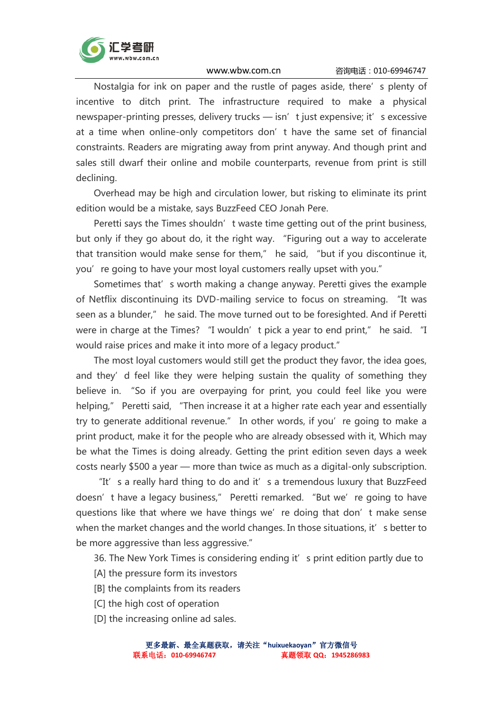

Nostalgia for ink on paper and the rustle of pages aside, there's plenty of incentive to ditch print. The infrastructure required to make a physical newspaper-printing presses, delivery trucks - isn' t just expensive; it' s excessive at a time when online-only competitors don't have the same set of financial constraints. Readers are migrating away from print anyway. And though print and sales still dwarf their online and mobile counterparts, revenue from print is still declining.

Overhead may be high and circulation lower, but risking to eliminate its print edition would be a mistake, says BuzzFeed CEO Jonah Pere.

Peretti says the Times shouldn' t waste time getting out of the print business, but only if they go about do, it the right way. "Figuring out a way to accelerate that transition would make sense for them," he said, "but if you discontinue it, you're going to have your most loyal customers really upset with you."

Sometimes that's worth making a change anyway. Peretti gives the example of Netflix discontinuing its DVD-mailing service to focus on streaming. "It was seen as a blunder," he said. The move turned out to be foresighted. And if Peretti were in charge at the Times? "I wouldn' t pick a year to end print," he said. "I would raise prices and make it into more of a legacy product."

The most loyal customers would still get the product they favor, the idea goes, and they' d feel like they were helping sustain the quality of something they believe in. "So if you are overpaying for print, you could feel like you were helping," Peretti said, "Then increase it at a higher rate each year and essentially try to generate additional revenue." In other words, if you're going to make a print product, make it for the people who are already obsessed with it, Which may be what the Times is doing already. Getting the print edition seven days a week costs nearly \$500 a year — more than twice as much as a digital-only subscription.

"It's a really hard thing to do and it's a tremendous luxury that BuzzFeed doesn't have a legacy business," Peretti remarked. "But we're going to have questions like that where we have things we're doing that don't make sense when the market changes and the world changes. In those situations, it' s better to be more aggressive than less aggressive."

36. The New York Times is considering ending it' s print edition partly due to

- [A] the pressure form its investors
- [B] the complaints from its readers
- [C] the high cost of operation
- [D] the increasing online ad sales.

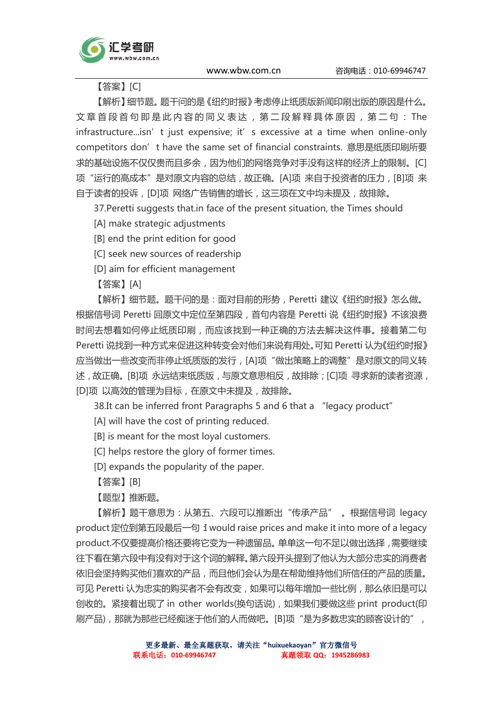

【答案】[C]

【解析】细节题。题干问的是《纽约时报》考虑停止纸质版新闻印刷出版的原因是什么。 文章首段首句即是此内容的同义表达, 第二段解释具体原因, 第二句: The infrastructure...isn' t just expensive; it' s excessive at a time when online-only competitors don' t have the same set of financial constraints. 意思是纸质印刷所要 求的基础设施不仅仅贵而且多余,因为他们的网络竞争对手没有这样的经济上的限制。[C] 项"运行的高成本"是对原文内容的总结,故正确。[A]项 来自于投资者的压力, [B]项 来 自于读者的投诉,[D]项 网络广告销售的增长,这三项在文中均未提及,故排除。

37.Peretti suggests that.in face of the present situation, the Times should

[A] make strategic adjustments

[B] end the print edition for good

[C] seek new sources of readership

[D] aim for efficient management

【答案】[A]

【解析】细节题。题干问的是:面对目前的形势,Peretti 建议《纽约时报》怎么做。 根据信号词 Peretti 回原文中定位至第四段,首句内容是 Peretti 说《纽约时报》不该浪费 时间去想着如何停止纸质印刷,而应该找到一种正确的方法去解决这件事。接着第二句 Peretti 说找到一种方式来促进这种转变会对他们来说有用处。可知 Peretti 认为《纽约时报》 应当做出一些改变而非停止纸质版的发行,[A]项"做出策略上的调整"是对原文的同义转 述,故正确。[B]项,永远结束纸质版,与原文意思相反,故排除;[C]项,寻求新的读者资源, [D]项 以高效的管理为目标,在原文中未提及,故排除。

38.It can be inferred front Paragraphs 5 and 6 that a "legacy product"

[A] will have the cost of printing reduced.

[B] is meant for the most loyal customers.

[C] helps restore the glory of former times.

[D] expands the popularity of the paper.

【答案】[B]

【题型】推断题。

【解析】题干意思为:从第五、六段可以推断出"传承产品" 。根据信号词 legacy product 定位到第五段最后一句:I would raise prices and make it into more of a legacy product.不仅要提高价格还要将它变为一种遗留品。单单这一句不足以做出选择,需要继续 往下看在第六段中有没有对于这个词的解释。第六段开头提到了他认为大部分忠实的消费者 依旧会坚持购买他们喜欢的产品,而且他们会认为是在帮助维持他们所信任的产品的质量。 可见 Peretti 认为忠实的购买者不会有改变,如果可以每年增加一些比例,那么依旧是可以 创收的。紧接着出现了 in other worlds(换句话说), 如果我们要做这些 print product(印 刷产品),那就为那些已经痴迷于他们的人而做吧。[B]项"是为多数忠实的顾客设计的",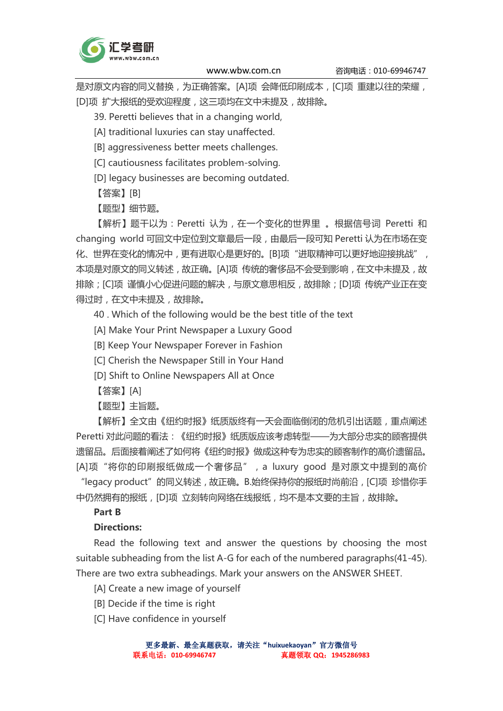

是对原文内容的同义替换,为正确答案。[A]项 会降低印刷成本, [C]项 重建以往的荣耀, [D]项 扩大报纸的受欢迎程度,这三项均在文中未提及,故排除。

39. Peretti believes that in a changing world,

[A] traditional luxuries can stay unaffected.

[B] aggressiveness better meets challenges.

[C] cautiousness facilitates problem-solving.

[D] legacy businesses are becoming outdated.

【答案】[B]

【题型】细节题。

【解析】题干以为:Peretti 认为,在一个变化的世界里 。根据信号词 Peretti 和 changing world 可回文中定位到文章最后一段,由最后一段可知 Peretti 认为在市场在变 化、世界在变化的情况中,更有进取心是更好的。[B]项"进取精神可以更好地迎接挑战", 本项是对原文的同义转述,故正确。[A]项 传统的奢侈品不会受到影响,在文中未提及,故 排除;[C]项 谨慎小心促进问题的解决,与原文意思相反,故排除;[D]项 传统产业正在变 得过时,在文中未提及,故排除。

40 . Which of the following would be the best title of the text

- [A] Make Your Print Newspaper a Luxury Good
- [B] Keep Your Newspaper Forever in Fashion

[C] Cherish the Newspaper Still in Your Hand

- [D] Shift to Online Newspapers All at Once
- 【答案】[A]

【题型】主旨题。

【解析】全文由《纽约时报》纸质版终有一天会面临倒闭的危机引出话题,重点阐述 Peretti 对此问题的看法:《纽约时报》纸质版应该考虑转型——为大部分忠实的顾客提供 遗留品。后面接着阐述了如何将《纽约时报》做成这种专为忠实的顾客制作的高价遗留品。 [A]项"将你的印刷报纸做成一个奢侈品",a luxury good 是对原文中提到的高价 "legacy product"的同义转述,故正确。B.始终保持你的报纸时尚前沿,[C]项 珍惜你手

中仍然拥有的报纸,[D]项 立刻转向网络在线报纸,均不是本文要的主旨,故排除。

# Part B

## Directions:

Read the following text and answer the questions by choosing the most suitable subheading from the list A-G for each of the numbered paragraphs(41-45). There are two extra subheadings. Mark your answers on the ANSWER SHEET.

[A] Create a new image of yourself

[B] Decide if the time is right

[C] Have confidence in yourself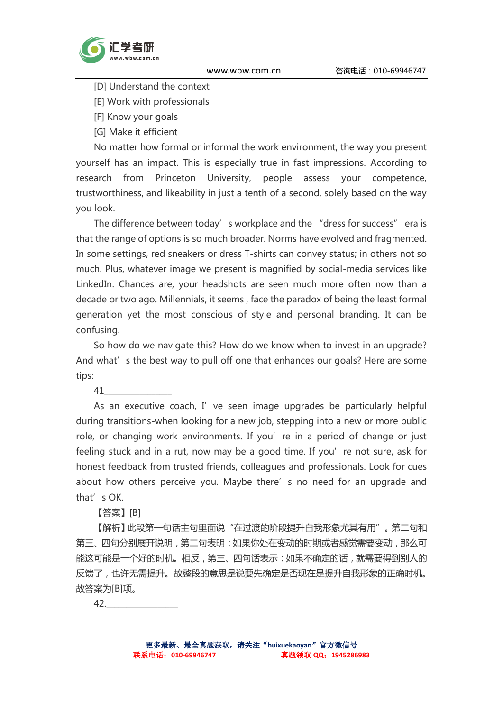

[D] Understand the context

[E] Work with professionals

[F] Know your goals

[G] Make it efficient

No matter how formal or informal the work environment, the way you present yourself has an impact. This is especially true in fast impressions. According to research from Princeton University, people assess your competence, trustworthiness, and likeability in just a tenth of a second, solely based on the way you look.

The difference between today's workplace and the "dress for success" era is that the range of options is so much broader. Norms have evolved and fragmented. In some settings, red sneakers or dress T-shirts can convey status; in others not so much. Plus, whatever image we present is magnified by social-media services like LinkedIn. Chances are, your headshots are seen much more often now than a decade or two ago. Millennials, it seems , face the paradox of being the least formal generation yet the most conscious of style and personal branding. It can be confusing.

So how do we navigate this? How do we know when to invest in an upgrade? And what's the best way to pull off one that enhances our goals? Here are some tips:

41\_\_\_\_\_\_\_\_\_\_\_\_\_\_\_\_\_

As an executive coach, I've seen image upgrades be particularly helpful during transitions-when looking for a new job, stepping into a new or more public role, or changing work environments. If you're in a period of change or just feeling stuck and in a rut, now may be a good time. If you're not sure, ask for honest feedback from trusted friends, colleagues and professionals. Look for cues about how others perceive you. Maybe there's no need for an upgrade and that's OK.

【答案】[B]

【解析】此段第一句话主句里面说"在过渡的阶段提升自我形象尤其有用"。第二句和 第三、四句分别展开说明,第二句表明:如果你处在变动的时期或者感觉需要变动,那么可 能这可能是一个好的时机。相反,第三、四句话表示:如果不确定的话,就需要得到别人的 反馈了,也许无需提升。故整段的意思是说要先确定是否现在是提升自我形象的正确时机。 故答案为[B]项。

42.\_\_\_\_\_\_\_\_\_\_\_\_\_\_\_\_\_\_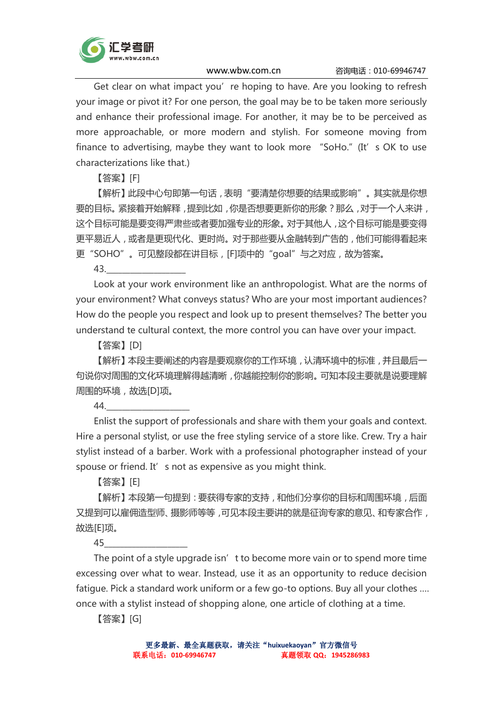

Get clear on what impact you're hoping to have. Are you looking to refresh your image or pivot it? For one person, the goal may be to be taken more seriously and enhance their professional image. For another, it may be to be perceived as more approachable, or more modern and stylish. For someone moving from finance to advertising, maybe they want to look more "SoHo." (It's OK to use characterizations like that.)

【答案】[F]

【解析】此段中心句即第一句话,表明"要清楚你想要的结果或影响"。其实就是你想 要的目标。紧接着开始解释,提到比如,你是否想要更新你的形象?那么,对于一个人来讲, 这个目标可能是要变得严肃些或者要加强专业的形象。对于其他人,这个目标可能是要变得 更平易近人,或者是更现代化、更时尚。对于那些要从金融转到广告的,他们可能得看起来 更"SOHO"。可见整段都在讲目标,[F]项中的"goal"与之对应,故为答案。

43.\_\_\_\_\_\_\_\_\_\_\_\_\_\_\_\_\_\_\_\_

Look at your work environment like an anthropologist. What are the norms of your environment? What conveys status? Who are your most important audiences? How do the people you respect and look up to present themselves? The better you understand te cultural context, the more control you can have over your impact.

【答案】[D]

【解析】本段主要阐述的内容是要观察你的工作环境,认清环境中的标准,并且最后一 句说你对周围的文化环境理解得越清晰,你越能控制你的影响。可知本段主要就是说要理解 周围的环境,故选[D]项。

44.\_\_\_\_\_\_\_\_\_\_\_\_\_\_\_\_\_\_\_\_\_

Enlist the support of professionals and share with them your goals and context. Hire a personal stylist, or use the free styling service of a store like. Crew. Try a hair stylist instead of a barber. Work with a professional photographer instead of your spouse or friend. It' s not as expensive as you might think.

【答案】[E]

【解析】本段第一句提到:要获得专家的支持,和他们分享你的目标和周围环境,后面 又提到可以雇佣造型师、摄影师等等,可见本段主要讲的就是征询专家的意见、和专家合作, 故选[E]项。

45\_\_\_\_\_\_\_\_\_\_\_\_\_\_\_\_\_\_\_\_\_

The point of a style upgrade isn't to become more vain or to spend more time excessing over what to wear. Instead, use it as an opportunity to reduce decision fatigue. Pick a standard work uniform or a few go-to options. Buy all your clothes …. once with a stylist instead of shopping alone, one article of clothing at a time.

【答案】[G]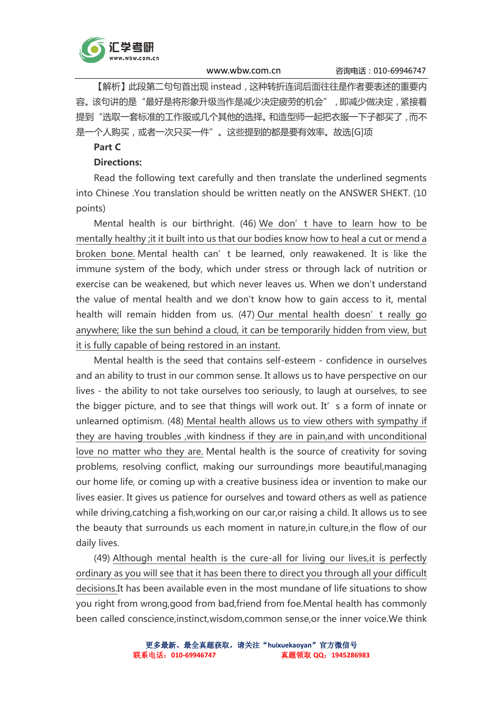

【解析】此段第二句句首出现 instead,这种转折连词后面往往是作者要表述的重要内 容。该句讲的是"最好是将形象升级当作是减少决定疲劳的机会",即减少做决定,紧接着 提到"选取一套标准的工作服或几个其他的选择。和造型师一起把衣服一下子都买了,而不 是一个人购买,或者一次只买一件"。这些提到的都是要有效率。故选[G]项

#### Part C

## Directions:

Read the following text carefully and then translate the underlined segments into Chinese .You translation should be written neatly on the ANSWER SHEKT. (10 points)

Mental health is our birthright. (46) We don't have to learn how to be mentally healthy ;it it built into us that our bodies know how to heal a cut or mend a broken bone. Mental health can't be learned, only reawakened. It is like the immune system of the body, which under stress or through lack of nutrition or exercise can be weakened, but which never leaves us. When we don't understand the value of mental health and we don't know how to gain access to it, mental health will remain hidden from us. (47) Our mental health doesn't really go anywhere; like the sun behind a cloud, it can be temporarily hidden from view, but it is fully capable of being restored in an instant.

Mental health is the seed that contains self-esteem - confidence in ourselves and an ability to trust in our common sense. It allows us to have perspective on our lives - the ability to not take ourselves too seriously, to laugh at ourselves, to see the bigger picture, and to see that things will work out. It' s a form of innate or unlearned optimism. (48) Mental health allows us to view others with sympathy if they are having troubles ,with kindness if they are in pain,and with unconditional love no matter who they are. Mental health is the source of creativity for soving problems, resolving conflict, making our surroundings more beautiful,managing our home life, or coming up with a creative business idea or invention to make our lives easier. It gives us patience for ourselves and toward others as well as patience while driving,catching a fish,working on our car,or raising a child. It allows us to see the beauty that surrounds us each moment in nature,in culture,in the flow of our daily lives.

(49) Although mental health is the cure-all for living our lives,it is perfectly ordinary as you will see that it has been there to direct you through all your difficult decisions.It has been available even in the most mundane of life situations to show you right from wrong,good from bad,friend from foe.Mental health has commonly been called conscience,instinct,wisdom,common sense,or the inner voice.We think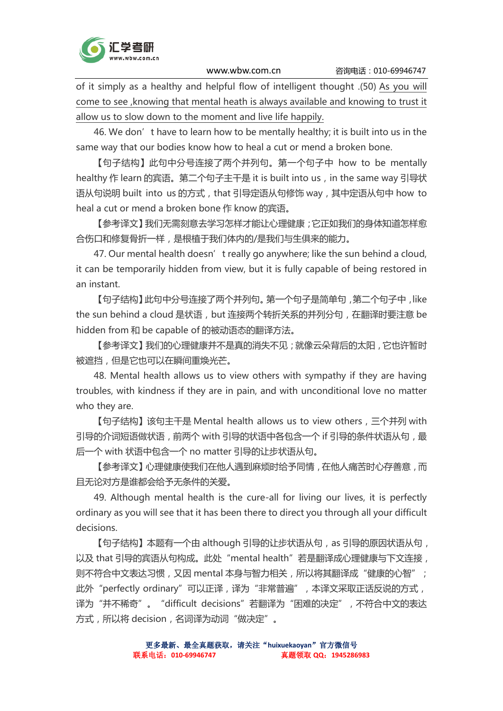

of it simply as a healthy and helpful flow of intelligent thought .(50) As you will come to see ,knowing that mental heath is always available and knowing to trust it allow us to slow down to the moment and live life happily.

46. We don't have to learn how to be mentally healthy; it is built into us in the same way that our bodies know how to heal a cut or mend a broken bone.

【句子结构】此句中分号连接了两个并列句。第一个句子中 how to be mentally healthy 作 learn 的宾语。第二个句子主干是 it is built into us, in the same way 引导状 语从句说明 built into us 的方式, that 引导定语从句修饰 way, 其中定语从句中 how to heal a cut or mend a broken bone 作 know 的宾语。

【参考译文】我们无需刻意去学习怎样才能让心理健康;它正如我们的身体知道怎样愈 合伤口和修复骨折一样,是根植于我们体内的/是我们与生俱来的能力。

47. Our mental health doesn't really go anywhere; like the sun behind a cloud, it can be temporarily hidden from view, but it is fully capable of being restored in an instant.

【句子结构】此句中分号连接了两个并列句。第一个句子是简单句,第二个句子中,like the sun behind a cloud 是状语, but 连接两个转折关系的并列分句, 在翻译时要注意 be hidden from 和 be capable of 的被动语态的翻译方法。

【参考译文】我们的心理健康并不是真的消失不见;就像云朵背后的太阳,它也许暂时 被遮挡,但是它也可以在瞬间重焕光芒。

48. Mental health allows us to view others with sympathy if they are having troubles, with kindness if they are in pain, and with unconditional love no matter who they are.

【句子结构】该句主干是 Mental health allows us to view others,三个并列 with 引导的介词短语做状语, 前两个 with 引导的状语中各包含一个 if 引导的条件状语从句, 最 后一个 with 状语中包含一个 no matter 引导的让步状语从句。

【参考译文】心理健康使我们在他人遇到麻烦时给予同情,在他人痛苦时心存善意,而 且无论对方是谁都会给予无条件的关爱。

49. Although mental health is the cure-all for living our lives, it is perfectly ordinary as you will see that it has been there to direct you through all your difficult decisions.

【句子结构】本题有一个由 although 引导的让步状语从句, as 引导的原因状语从句, 以及 that 引导的宾语从句构成。此处"mental health"若是翻译成心理健康与下文连接, 则不符合中文表达习惯,又因 mental 本身与智力相关, 所以将其翻译成"健康的心智"; 此外"perfectly ordinary"可以正译,译为"非常普遍",本译文采取正话反说的方式, 译为"并不稀奇"。"difficult decisions"若翻译为"困难的决定",不符合中文的表达 方式,所以将 decision,名词译为动词"做决定"。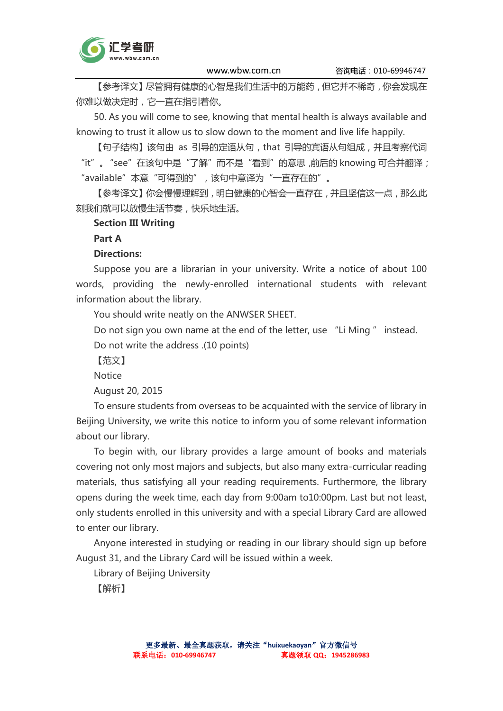

【参考译文】尽管拥有健康的心智是我们生活中的万能药,但它并不稀奇,你会发现在 你难以做决定时,它一直在指引着你。

50. As you will come to see, knowing that mental health is always available and knowing to trust it allow us to slow down to the moment and live life happily.

【句子结构】该句由 as 引导的定语从句,that 引导的宾语从句组成,并且考察代词 "it"。 "see"在该句中是 "了解"而不是 "看到"的意思,前后的 knowing 可合并翻译; "available"本意"可得到的",该句中意译为"一直存在的"。

【参考译文】你会慢慢理解到,明白健康的心智会一直存在,并且坚信这一点,那么此 刻我们就可以放慢生活节奏,快乐地生活。

## Section III Writing

Part A

## Directions:

Suppose you are a librarian in your university. Write a notice of about 100 words, providing the newly-enrolled international students with relevant information about the library.

You should write neatly on the ANWSER SHEET.

Do not sign you own name at the end of the letter, use "Li Ming " instead. Do not write the address .(10 points)

【范文】

**Notice** 

August 20, 2015

To ensure students from overseas to be acquainted with the service of library in Beijing University, we write this notice to inform you of some relevant information about our library.

To begin with, our library provides a large amount of books and materials covering not only most majors and subjects, but also many extra-curricular reading materials, thus satisfying all your reading requirements. Furthermore, the library opens during the week time, each day from 9:00am to10:00pm. Last but not least, only students enrolled in this university and with a special Library Card are allowed to enter our library.

Anyone interested in studying or reading in our library should sign up before August 31, and the Library Card will be issued within a week.

Library of Beijing University

【解析】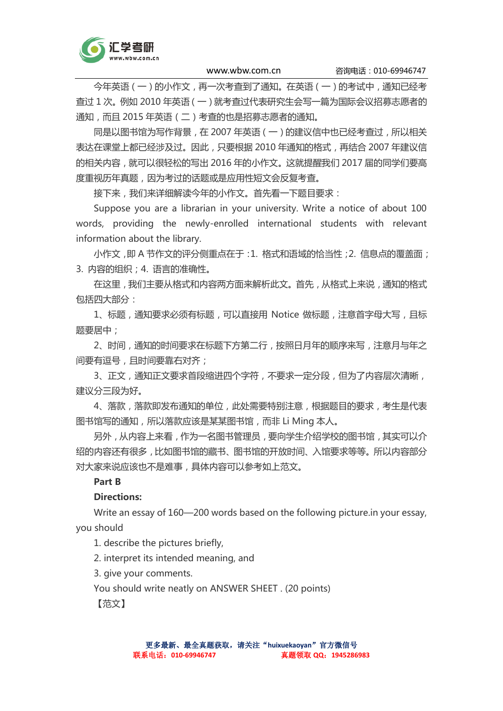

今年英语(一)的小作文,再一次考查到了通知。在英语(一)的考试中,通知已经考 查过 1 次。例如 2010 年英语(一)就考查过代表研究生会写一篇为国际会议招募志愿者的 通知,而且 2015 年英语(二)考查的也是招募志愿者的通知。

同是以图书馆为写作背景,在 2007 年英语(一)的建议信中也已经考查过,所以相关 表达在课堂上都已经涉及过。因此,只要根据 2010 年通知的格式,再结合 2007 年建议信 的相关内容,就可以很轻松的写出 2016 年的小作文。这就提醒我们 2017 届的同学们要高 度重视历年真题,因为考过的话题或是应用性短文会反复考查。

接下来,我们来详细解读今年的小作文。首先看一下题目要求:

Suppose you are a librarian in your university. Write a notice of about 100 words, providing the newly-enrolled international students with relevant information about the library.

小作文,即 A 节作文的评分侧重点在于:1. 格式和语域的恰当性;2. 信息点的覆盖面; 3. 内容的组织;4. 语言的准确性。

在这里,我们主要从格式和内容两方面来解析此文。首先,从格式上来说,通知的格式 包括四大部分:

1、标题,通知要求必须有标题,可以直接用 Notice 做标题,注意首字母大写,且标 题要居中;

2、时间,通知的时间要求在标题下方第二行,按照日月年的顺序来写,注意月与年之 间要有逗号, 目时间要靠右对齐;

3、正文,通知正文要求首段缩进四个字符,不要求一定分段,但为了内容层次清晰, 建议分三段为好。

4、落款,落款即发布通知的单位,此处需要特别注意,根据题目的要求,考生是代表 图书馆写的通知,所以落款应该是某某图书馆,而非 Li Ming 本人。

另外,从内容上来看,作为一名图书管理员,要向学生介绍学校的图书馆,其实可以介 绍的内容还有很多,比如图书馆的藏书、图书馆的开放时间、入馆要求等等。所以内容部分 对大家来说应该也不是难事,具体内容可以参考如上范文。

## Part B

## Directions:

Write an essay of 160—200 words based on the following picture.in your essay, you should

1. describe the pictures briefly,

2. interpret its intended meaning, and

3. give your comments.

You should write neatly on ANSWER SHEET . (20 points)

【范文】